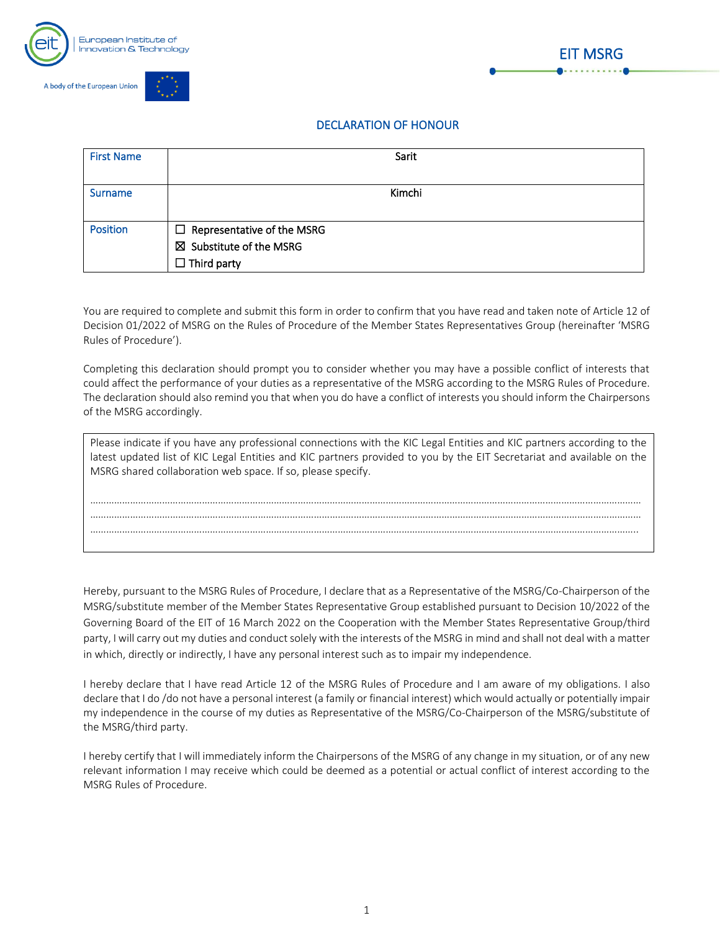



## DECLARATION OF HONOUR

| <b>First Name</b> | Sarit                                                                                         |
|-------------------|-----------------------------------------------------------------------------------------------|
| <b>Surname</b>    | Kimchi                                                                                        |
| <b>Position</b>   | $\Box$ Representative of the MSRG<br>$\boxtimes$ Substitute of the MSRG<br>$\Box$ Third party |

You are required to complete and submit this form in order to confirm that you have read and taken note of Article 12 of Decision 01/2022 of MSRG on the Rules of Procedure of the Member States Representatives Group (hereinafter 'MSRG Rules of Procedure').

Completing this declaration should prompt you to consider whether you may have a possible conflict of interests that could affect the performance of your duties as a representative of the MSRG according to the MSRG Rules of Procedure. The declaration should also remind you that when you do have a conflict of interests you should inform the Chairpersons of the MSRG accordingly.

| Please indicate if you have any professional connections with the KIC Legal Entities and KIC partners according to the<br>latest updated list of KIC Legal Entities and KIC partners provided to you by the EIT Secretariat and available on the<br>MSRG shared collaboration web space. If so, please specify. |
|-----------------------------------------------------------------------------------------------------------------------------------------------------------------------------------------------------------------------------------------------------------------------------------------------------------------|
|                                                                                                                                                                                                                                                                                                                 |
|                                                                                                                                                                                                                                                                                                                 |
|                                                                                                                                                                                                                                                                                                                 |
|                                                                                                                                                                                                                                                                                                                 |
|                                                                                                                                                                                                                                                                                                                 |

Hereby, pursuant to the MSRG Rules of Procedure, I declare that as a Representative of the MSRG/Co-Chairperson of the MSRG/substitute member of the Member States Representative Group established pursuant to Decision 10/2022 of the Governing Board of the EIT of 16 March 2022 on the Cooperation with the Member States Representative Group/third party, I will carry out my duties and conduct solely with the interests of the MSRG in mind and shall not deal with a matter in which, directly or indirectly, I have any personal interest such as to impair my independence.

I hereby declare that I have read Article 12 of the MSRG Rules of Procedure and I am aware of my obligations. I also declare that I do /do not have a personal interest (a family or financial interest) which would actually or potentially impair my independence in the course of my duties as Representative of the MSRG/Co-Chairperson of the MSRG/substitute of the MSRG/third party.

I hereby certify that I will immediately inform the Chairpersons of the MSRG of any change in my situation, or of any new relevant information I may receive which could be deemed as a potential or actual conflict of interest according to the MSRG Rules of Procedure.